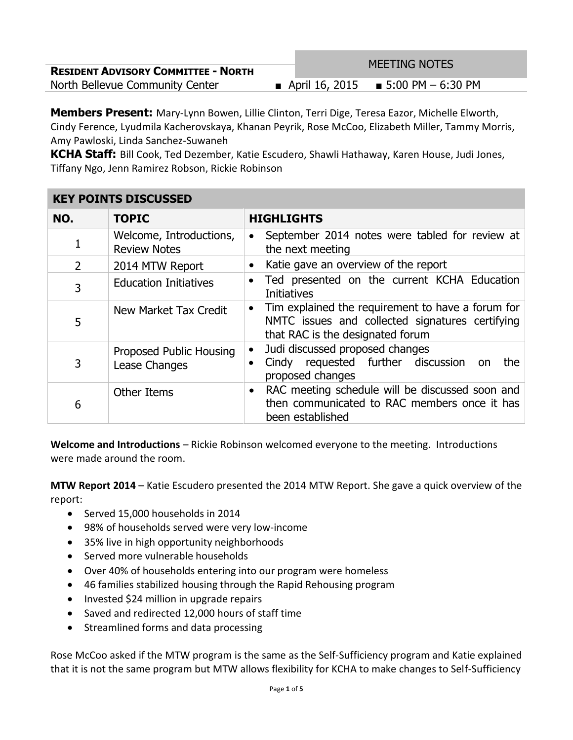| <b>RESIDENT ADVISORY COMMITTEE - NORTH</b> | <b>MEETING NOTES</b>                   |  |
|--------------------------------------------|----------------------------------------|--|
| North Bellevue Community Center            | ■ April 16, 2015 ■ 5:00 PM $-$ 6:30 PM |  |

**Members Present:** Mary-Lynn Bowen, Lillie Clinton, Terri Dige, Teresa Eazor, Michelle Elworth, Cindy Ference, Lyudmila Kacherovskaya, Khanan Peyrik, Rose McCoo, Elizabeth Miller, Tammy Morris, Amy Pawloski, Linda Sanchez-Suwaneh

**KCHA Staff:** Bill Cook, Ted Dezember, Katie Escudero, Shawli Hathaway, Karen House, Judi Jones, Tiffany Ngo, Jenn Ramirez Robson, Rickie Robinson

| KEY POINTS DISCUSSED |                                                |                                                                                                                                                       |
|----------------------|------------------------------------------------|-------------------------------------------------------------------------------------------------------------------------------------------------------|
| NO.                  | <b>TOPIC</b>                                   | <b>HIGHLIGHTS</b>                                                                                                                                     |
| 1                    | Welcome, Introductions,<br><b>Review Notes</b> | September 2014 notes were tabled for review at<br>the next meeting                                                                                    |
| $\overline{2}$       | 2014 MTW Report                                | Katie gave an overview of the report                                                                                                                  |
| 3                    | <b>Education Initiatives</b>                   | Ted presented on the current KCHA Education<br>$\bullet$<br><b>Initiatives</b>                                                                        |
| 5                    | New Market Tax Credit                          | Tim explained the requirement to have a forum for<br>$\bullet$<br>NMTC issues and collected signatures certifying<br>that RAC is the designated forum |
| 3                    | Proposed Public Housing<br>Lease Changes       | Judi discussed proposed changes<br>Cindy requested further discussion<br>the<br>on<br>proposed changes                                                |
| 6                    | <b>Other Items</b>                             | RAC meeting schedule will be discussed soon and<br>$\bullet$<br>then communicated to RAC members once it has<br>been established                      |

## **KEY POINTS DISCUSSED**

**Welcome and Introductions** – Rickie Robinson welcomed everyone to the meeting. Introductions were made around the room.

**MTW Report 2014** – Katie Escudero presented the 2014 MTW Report. She gave a quick overview of the report:

- Served 15,000 households in 2014
- 98% of households served were very low-income
- 35% live in high opportunity neighborhoods
- Served more vulnerable households
- Over 40% of households entering into our program were homeless
- 46 families stabilized housing through the Rapid Rehousing program
- Invested \$24 million in upgrade repairs
- Saved and redirected 12,000 hours of staff time
- Streamlined forms and data processing

Rose McCoo asked if the MTW program is the same as the Self-Sufficiency program and Katie explained that it is not the same program but MTW allows flexibility for KCHA to make changes to Self-Sufficiency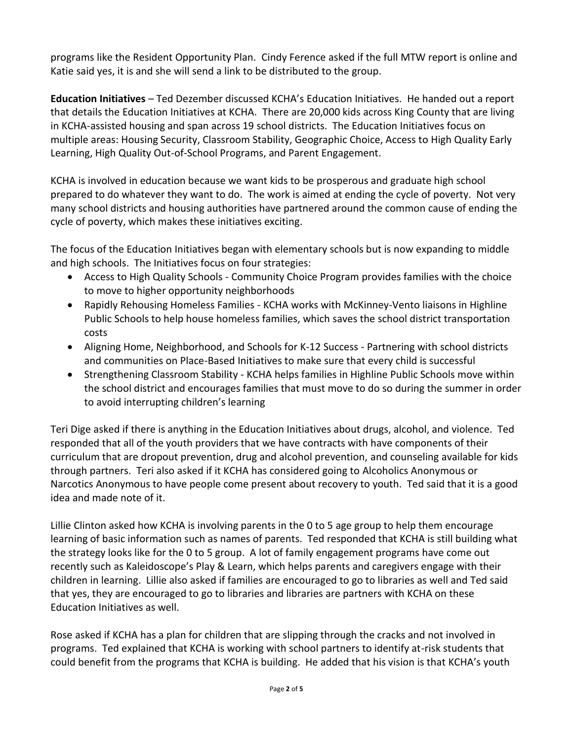programs like the Resident Opportunity Plan. Cindy Ference asked if the full MTW report is online and Katie said yes, it is and she will send a link to be distributed to the group.

**Education Initiatives** – Ted Dezember discussed KCHA's Education Initiatives. He handed out a report that details the Education Initiatives at KCHA. There are 20,000 kids across King County that are living in KCHA-assisted housing and span across 19 school districts. The Education Initiatives focus on multiple areas: Housing Security, Classroom Stability, Geographic Choice, Access to High Quality Early Learning, High Quality Out-of-School Programs, and Parent Engagement.

KCHA is involved in education because we want kids to be prosperous and graduate high school prepared to do whatever they want to do. The work is aimed at ending the cycle of poverty. Not very many school districts and housing authorities have partnered around the common cause of ending the cycle of poverty, which makes these initiatives exciting.

The focus of the Education Initiatives began with elementary schools but is now expanding to middle and high schools. The Initiatives focus on four strategies:

- Access to High Quality Schools Community Choice Program provides families with the choice to move to higher opportunity neighborhoods
- Rapidly Rehousing Homeless Families KCHA works with McKinney-Vento liaisons in Highline Public Schools to help house homeless families, which saves the school district transportation costs
- Aligning Home, Neighborhood, and Schools for K-12 Success Partnering with school districts and communities on Place-Based Initiatives to make sure that every child is successful
- Strengthening Classroom Stability KCHA helps families in Highline Public Schools move within the school district and encourages families that must move to do so during the summer in order to avoid interrupting children's learning

Teri Dige asked if there is anything in the Education Initiatives about drugs, alcohol, and violence. Ted responded that all of the youth providers that we have contracts with have components of their curriculum that are dropout prevention, drug and alcohol prevention, and counseling available for kids through partners. Teri also asked if it KCHA has considered going to Alcoholics Anonymous or Narcotics Anonymous to have people come present about recovery to youth. Ted said that it is a good idea and made note of it.

Lillie Clinton asked how KCHA is involving parents in the 0 to 5 age group to help them encourage learning of basic information such as names of parents. Ted responded that KCHA is still building what the strategy looks like for the 0 to 5 group. A lot of family engagement programs have come out recently such as Kaleidoscope's Play & Learn, which helps parents and caregivers engage with their children in learning. Lillie also asked if families are encouraged to go to libraries as well and Ted said that yes, they are encouraged to go to libraries and libraries are partners with KCHA on these Education Initiatives as well.

Rose asked if KCHA has a plan for children that are slipping through the cracks and not involved in programs. Ted explained that KCHA is working with school partners to identify at-risk students that could benefit from the programs that KCHA is building. He added that his vision is that KCHA's youth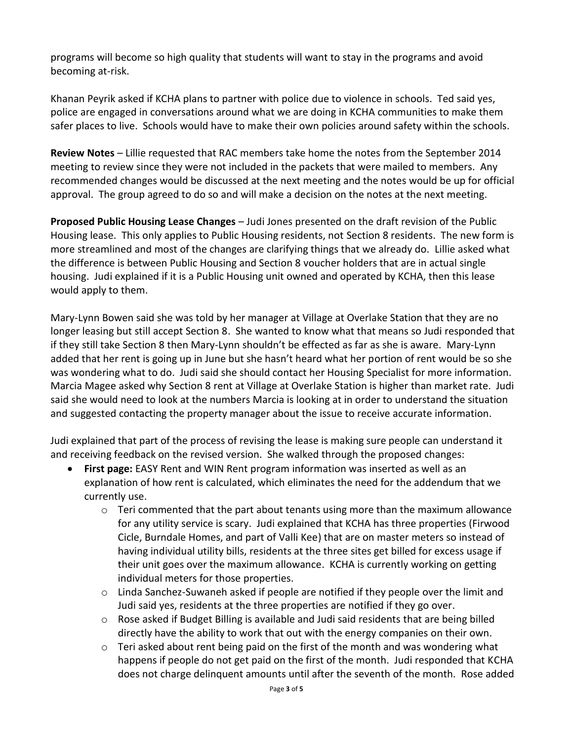programs will become so high quality that students will want to stay in the programs and avoid becoming at-risk.

Khanan Peyrik asked if KCHA plans to partner with police due to violence in schools. Ted said yes, police are engaged in conversations around what we are doing in KCHA communities to make them safer places to live. Schools would have to make their own policies around safety within the schools.

**Review Notes** – Lillie requested that RAC members take home the notes from the September 2014 meeting to review since they were not included in the packets that were mailed to members. Any recommended changes would be discussed at the next meeting and the notes would be up for official approval. The group agreed to do so and will make a decision on the notes at the next meeting.

**Proposed Public Housing Lease Changes** – Judi Jones presented on the draft revision of the Public Housing lease. This only applies to Public Housing residents, not Section 8 residents. The new form is more streamlined and most of the changes are clarifying things that we already do. Lillie asked what the difference is between Public Housing and Section 8 voucher holders that are in actual single housing. Judi explained if it is a Public Housing unit owned and operated by KCHA, then this lease would apply to them.

Mary-Lynn Bowen said she was told by her manager at Village at Overlake Station that they are no longer leasing but still accept Section 8. She wanted to know what that means so Judi responded that if they still take Section 8 then Mary-Lynn shouldn't be effected as far as she is aware. Mary-Lynn added that her rent is going up in June but she hasn't heard what her portion of rent would be so she was wondering what to do. Judi said she should contact her Housing Specialist for more information. Marcia Magee asked why Section 8 rent at Village at Overlake Station is higher than market rate. Judi said she would need to look at the numbers Marcia is looking at in order to understand the situation and suggested contacting the property manager about the issue to receive accurate information.

Judi explained that part of the process of revising the lease is making sure people can understand it and receiving feedback on the revised version. She walked through the proposed changes:

- **First page:** EASY Rent and WIN Rent program information was inserted as well as an explanation of how rent is calculated, which eliminates the need for the addendum that we currently use.
	- $\circ$  Teri commented that the part about tenants using more than the maximum allowance for any utility service is scary. Judi explained that KCHA has three properties (Firwood Cicle, Burndale Homes, and part of Valli Kee) that are on master meters so instead of having individual utility bills, residents at the three sites get billed for excess usage if their unit goes over the maximum allowance. KCHA is currently working on getting individual meters for those properties.
	- $\circ$  Linda Sanchez-Suwaneh asked if people are notified if they people over the limit and Judi said yes, residents at the three properties are notified if they go over.
	- $\circ$  Rose asked if Budget Billing is available and Judi said residents that are being billed directly have the ability to work that out with the energy companies on their own.
	- o Teri asked about rent being paid on the first of the month and was wondering what happens if people do not get paid on the first of the month. Judi responded that KCHA does not charge delinquent amounts until after the seventh of the month. Rose added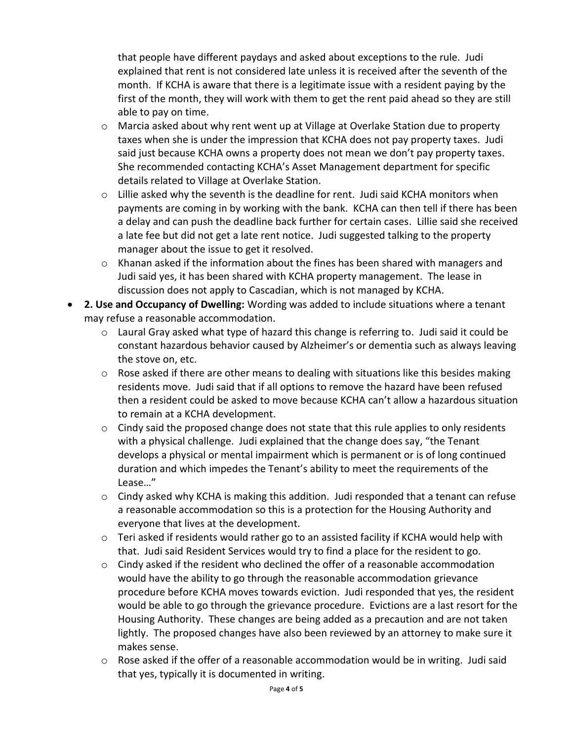that people have different paydays and asked about exceptions to the rule. Judi explained that rent is not considered late unless it is received after the seventh of the month. If KCHA is aware that there is a legitimate issue with a resident paying by the first of the month, they will work with them to get the rent paid ahead so they are still able to pay on time.

- $\circ$  Marcia asked about why rent went up at Village at Overlake Station due to property taxes when she is under the impression that KCHA does not pay property taxes. Judi said just because KCHA owns a property does not mean we don't pay property taxes. She recommended contacting KCHA's Asset Management department for specific details related to Village at Overlake Station.
- $\circ$  Lillie asked why the seventh is the deadline for rent. Judi said KCHA monitors when payments are coming in by working with the bank. KCHA can then tell if there has been a delay and can push the deadline back further for certain cases. Lillie said she received a late fee but did not get a late rent notice. Judi suggested talking to the property manager about the issue to get it resolved.
- $\circ$  Khanan asked if the information about the fines has been shared with managers and Judi said yes, it has been shared with KCHA property management. The lease in discussion does not apply to Cascadian, which is not managed by KCHA.
- **2. Use and Occupancy of Dwelling:** Wording was added to include situations where a tenant may refuse a reasonable accommodation.
	- $\circ$  Laural Gray asked what type of hazard this change is referring to. Judi said it could be constant hazardous behavior caused by Alzheimer's or dementia such as always leaving the stove on, etc.
	- $\circ$  Rose asked if there are other means to dealing with situations like this besides making residents move. Judi said that if all options to remove the hazard have been refused then a resident could be asked to move because KCHA can't allow a hazardous situation to remain at a KCHA development.
	- $\circ$  Cindy said the proposed change does not state that this rule applies to only residents with a physical challenge. Judi explained that the change does say, "the Tenant develops a physical or mental impairment which is permanent or is of long continued duration and which impedes the Tenant's ability to meet the requirements of the Lease…"
	- o Cindy asked why KCHA is making this addition. Judi responded that a tenant can refuse a reasonable accommodation so this is a protection for the Housing Authority and everyone that lives at the development.
	- $\circ$  Teri asked if residents would rather go to an assisted facility if KCHA would help with that. Judi said Resident Services would try to find a place for the resident to go.
	- $\circ$  Cindy asked if the resident who declined the offer of a reasonable accommodation would have the ability to go through the reasonable accommodation grievance procedure before KCHA moves towards eviction. Judi responded that yes, the resident would be able to go through the grievance procedure. Evictions are a last resort for the Housing Authority. These changes are being added as a precaution and are not taken lightly. The proposed changes have also been reviewed by an attorney to make sure it makes sense.
	- $\circ$  Rose asked if the offer of a reasonable accommodation would be in writing. Judi said that yes, typically it is documented in writing.